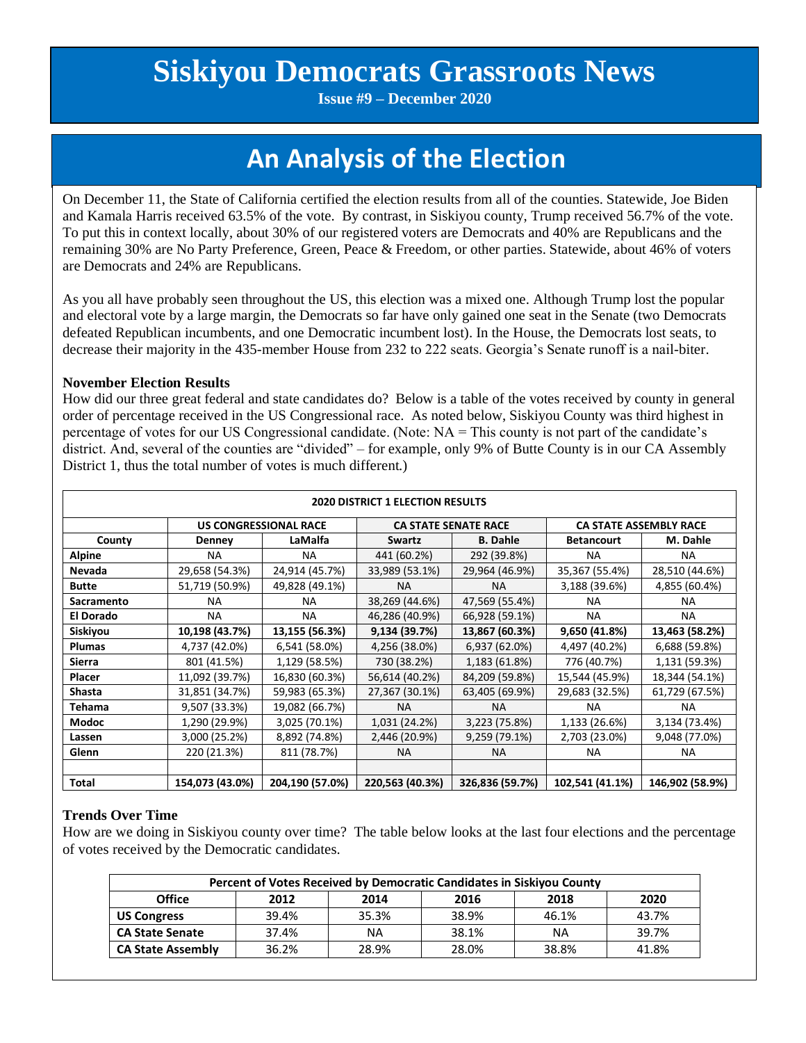# **Siskiyou Democrats Grassroots News**

**Issue #9 – December 2020**

# **An Analysis of the Election**

On December 11, the State of California certified the election results from all of the counties. Statewide, Joe Biden and Kamala Harris received 63.5% of the vote. By contrast, in Siskiyou county, Trump received 56.7% of the vote. To put this in context locally, about 30% of our registered voters are Democrats and 40% are Republicans and the remaining 30% are No Party Preference, Green, Peace & Freedom, or other parties. Statewide, about 46% of voters are Democrats and 24% are Republicans.

As you all have probably seen throughout the US, this election was a mixed one. Although Trump lost the popular and electoral vote by a large margin, the Democrats so far have only gained one seat in the Senate (two Democrats defeated Republican incumbents, and one Democratic incumbent lost). In the House, the Democrats lost seats, to decrease their majority in the 435-member House from 232 to 222 seats. Georgia's Senate runoff is a nail-biter.

#### **November Election Results**

How did our three great federal and state candidates do? Below is a table of the votes received by county in general order of percentage received in the US Congressional race. As noted below, Siskiyou County was third highest in percentage of votes for our US Congressional candidate. (Note: NA = This county is not part of the candidate's district. And, several of the counties are "divided" – for example, only 9% of Butte County is in our CA Assembly District 1, thus the total number of votes is much different.)

| 2020 DISTRICT 1 ELECTION RESULTS |                              |                 |                             |                 |                               |                 |  |  |  |
|----------------------------------|------------------------------|-----------------|-----------------------------|-----------------|-------------------------------|-----------------|--|--|--|
|                                  | <b>US CONGRESSIONAL RACE</b> |                 | <b>CA STATE SENATE RACE</b> |                 | <b>CA STATE ASSEMBLY RACE</b> |                 |  |  |  |
| County                           | Denney                       | LaMalfa         | Swartz                      | <b>B.</b> Dahle | <b>Betancourt</b>             | M. Dahle        |  |  |  |
| <b>Alpine</b>                    | NА                           | <b>NA</b>       | 441 (60.2%)                 | 292 (39.8%)     | NА                            | <b>NA</b>       |  |  |  |
| <b>Nevada</b>                    | 29,658 (54.3%)               | 24,914 (45.7%)  | 33,989 (53.1%)              | 29,964 (46.9%)  | 35,367 (55.4%)                | 28,510 (44.6%)  |  |  |  |
| <b>Butte</b>                     | 51,719 (50.9%)               | 49,828 (49.1%)  | <b>NA</b>                   | <b>NA</b>       | 3,188 (39.6%)                 | 4,855 (60.4%)   |  |  |  |
| Sacramento                       | <b>NA</b>                    | <b>NA</b>       | 38,269 (44.6%)              | 47,569 (55.4%)  | <b>NA</b>                     | NA.             |  |  |  |
| <b>El Dorado</b>                 | <b>NA</b>                    | <b>NA</b>       | 46,286 (40.9%)              | 66,928 (59.1%)  | <b>NA</b>                     | NA.             |  |  |  |
| Siskiyou                         | 10,198 (43.7%)               | 13,155 (56.3%)  | 9,134 (39.7%)               | 13,867 (60.3%)  | 9,650 (41.8%)                 | 13,463 (58.2%)  |  |  |  |
| <b>Plumas</b>                    | 4,737 (42.0%)                | 6,541 (58.0%)   | 4,256 (38.0%)               | 6,937 (62.0%)   | 4,497 (40.2%)                 | 6,688 (59.8%)   |  |  |  |
| Sierra                           | 801 (41.5%)                  | 1,129 (58.5%)   | 730 (38.2%)                 | 1,183 (61.8%)   | 776 (40.7%)                   | 1,131 (59.3%)   |  |  |  |
| <b>Placer</b>                    | 11,092 (39.7%)               | 16,830 (60.3%)  | 56,614 (40.2%)              | 84,209 (59.8%)  | 15,544 (45.9%)                | 18,344 (54.1%)  |  |  |  |
| <b>Shasta</b>                    | 31,851 (34.7%)               | 59,983 (65.3%)  | 27,367 (30.1%)              | 63,405 (69.9%)  | 29,683 (32.5%)                | 61,729 (67.5%)  |  |  |  |
| <b>Tehama</b>                    | 9,507 (33.3%)                | 19,082 (66.7%)  | <b>NA</b>                   | <b>NA</b>       | NА                            | <b>NA</b>       |  |  |  |
| Modoc                            | 1,290 (29.9%)                | 3,025 (70.1%)   | 1,031 (24.2%)               | 3,223 (75.8%)   | 1,133 (26.6%)                 | 3,134 (73.4%)   |  |  |  |
| Lassen                           | 3,000 (25.2%)                | 8,892 (74.8%)   | 2,446 (20.9%)               | 9,259 (79.1%)   | 2,703 (23.0%)                 | 9,048 (77.0%)   |  |  |  |
| Glenn                            | 220 (21.3%)                  | 811 (78.7%)     | <b>NA</b>                   | <b>NA</b>       | <b>NA</b>                     | <b>NA</b>       |  |  |  |
|                                  |                              |                 |                             |                 |                               |                 |  |  |  |
| <b>Total</b>                     | 154,073 (43.0%)              | 204,190 (57.0%) | 220,563 (40.3%)             | 326,836 (59.7%) | 102,541 (41.1%)               | 146,902 (58.9%) |  |  |  |

#### **Trends Over Time**

How are we doing in Siskiyou county over time? The table below looks at the last four elections and the percentage of votes received by the Democratic candidates.

| Percent of Votes Received by Democratic Candidates in Siskiyou County |       |       |       |       |       |  |  |  |  |
|-----------------------------------------------------------------------|-------|-------|-------|-------|-------|--|--|--|--|
| <b>Office</b>                                                         | 2012  | 2014  | 2016  | 2018  | 2020  |  |  |  |  |
| <b>US Congress</b>                                                    | 39.4% | 35.3% | 38.9% | 46.1% | 43.7% |  |  |  |  |
| <b>CA State Senate</b>                                                | 37.4% | ΝA    | 38.1% | ΝA    | 39.7% |  |  |  |  |
| <b>CA State Assembly</b>                                              | 36.2% | 28.9% | 28.0% | 38.8% | 41.8% |  |  |  |  |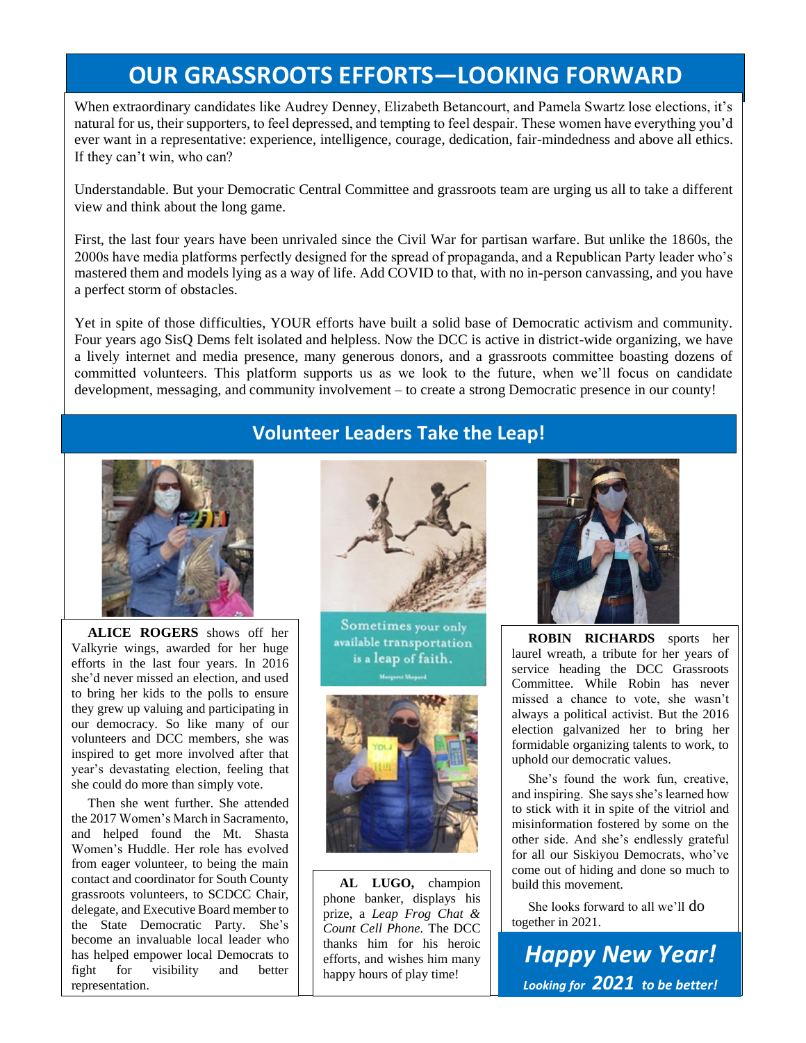## **OUR GRASSROOTS EFFORTS—LOOKING FORWARD**

When extraordinary candidates like Audrey Denney, Elizabeth Betancourt, and Pamela Swartz lose elections, it's natural for us, their supporters, to feel depressed, and tempting to feel despair. These women have everything you'd ever want in a representative: experience, intelligence, courage, dedication, fair-mindedness and above all ethics. If they can't win, who can?

Understandable. But your Democratic Central Committee and grassroots team are urging us all to take a different view and think about the long game.

First, the last four years have been unrivaled since the Civil War for partisan warfare. But unlike the 1860s, the 2000s have media platforms perfectly designed for the spread of propaganda, and a Republican Party leader who's mastered them and models lying as a way of life. Add COVID to that, with no in-person canvassing, and you have a perfect storm of obstacles.

Yet in spite of those difficulties, YOUR efforts have built a solid base of Democratic activism and community. Four years ago SisQ Dems felt isolated and helpless. Now the DCC is active in district-wide organizing, we have a lively internet and media presence, many generous donors, and a grassroots committee boasting dozens of committed volunteers. This platform supports us as we look to the future, when we'll focus on candidate development, messaging, and community involvement – to create a strong Democratic presence in our county!



 **ALICE ROGERS** shows off her Valkyrie wings, awarded for her huge efforts in the last four years. In 2016 she'd never missed an election, and used to bring her kids to the polls to ensure they grew up valuing and participating in our democracy. So like many of our volunteers and DCC members, she was inspired to get more involved after that year's devastating election, feeling that she could do more than simply vote.

 Then she went further. She attended the 2017 Women's March in Sacramento, and helped found the Mt. Shasta Women's Huddle. Her role has evolved from eager volunteer, to being the main contact and coordinator for South County grassroots volunteers, to SCDCC Chair, delegate, and Executive Board member to the State Democratic Party. She's become an invaluable local leader who has helped empower local Democrats to fight for visibility and better representation.



Sometimes your only available transportation is a leap of faith.



2  **AL LUGO,** champion phone banker, displays his prize, a *Leap Frog Chat & Count Cell Phone.* The DCC thanks him for his heroic efforts, and wishes him many happy hours of play time!



 **ROBIN RICHARDS** sports her laurel wreath, a tribute for her years of service heading the DCC Grassroots Committee. While Robin has never missed a chance to vote, she wasn't always a political activist. But the 2016 election galvanized her to bring her formidable organizing talents to work, to uphold our democratic values.

 She's found the work fun, creative, and inspiring. She says she's learned how to stick with it in spite of the vitriol and misinformation fostered by some on the other side. And she's endlessly grateful for all our Siskiyou Democrats, who've come out of hiding and done so much to build this movement.

 She looks forward to all we'll do together in 2021.

*Happy New Year! Looking for 2021 to be better!*

### **Volunteer Leaders Take the Leap!**